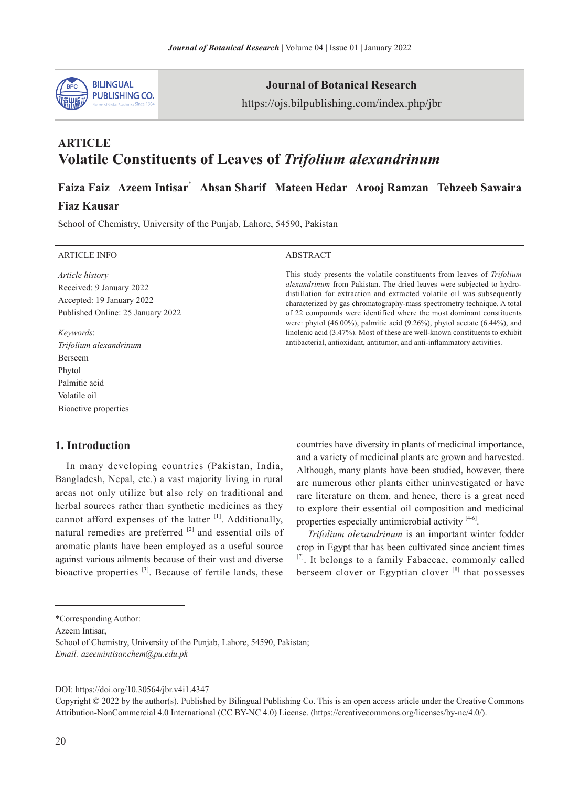

# **Journal of Botanical Research**

https://ojs.bilpublishing.com/index.php/jbr

# **ARTICLE Volatile Constituents of Leaves of** *Trifolium alexandrinum*

# **Faiza Faiz Azeem Intisar**\*  **Ahsan Sharif Mateen Hedar Arooj Ramzan Tehzeeb Sawaira**

# **Fiaz Kausar**

School of Chemistry, University of the Punjab, Lahore, 54590, Pakistan

#### ARTICLE INFO ABSTRACT

*Article history* Received: 9 January 2022 Accepted: 19 January 2022 Published Online: 25 January 2022

*Keywords*: *Trifolium alexandrinum* Berseem Phytol Palmitic acid Volatile oil Bioactive properties

This study presents the volatile constituents from leaves of *Trifolium alexandrinum* from Pakistan. The dried leaves were subjected to hydrodistillation for extraction and extracted volatile oil was subsequently characterized by gas chromatography-mass spectrometry technique. A total of 22 compounds were identified where the most dominant constituents were: phytol (46.00%), palmitic acid (9.26%), phytol acetate (6.44%), and linolenic acid (3.47%). Most of these are well-known constituents to exhibit antibacterial, antioxidant, antitumor, and anti-inflammatory activities.

# **1. Introduction**

In many developing countries (Pakistan, India, Bangladesh, Nepal, etc.) a vast majority living in rural areas not only utilize but also rely on traditional and herbal sources rather than synthetic medicines as they cannot afford expenses of the latter  $[1]$ . Additionally, natural remedies are preferred <sup>[2]</sup> and essential oils of aromatic plants have been employed as a useful source against various ailments because of their vast and diverse bioactive properties <sup>[3]</sup>. Because of fertile lands, these countries have diversity in plants of medicinal importance, and a variety of medicinal plants are grown and harvested. Although, many plants have been studied, however, there are numerous other plants either uninvestigated or have rare literature on them, and hence, there is a great need to explore their essential oil composition and medicinal properties especially antimicrobial activity [4-6].

*Trifolium alexandrinum* is an important winter fodder crop in Egypt that has been cultivated since ancient times [7]. It belongs to a family Fabaceae, commonly called berseem clover or Egyptian clover  $[8]$  that possesses

Azeem Intisar,

School of Chemistry, University of the Punjab, Lahore, 54590, Pakistan; *Email: azeemintisar.chem@pu.edu.pk*

DOI: https://doi.org/10.30564/jbr.v4i1.4347

Copyright © 2022 by the author(s). Published by Bilingual Publishing Co. This is an open access article under the Creative Commons Attribution-NonCommercial 4.0 International (CC BY-NC 4.0) License. (https://creativecommons.org/licenses/by-nc/4.0/).

<sup>\*</sup>Corresponding Author: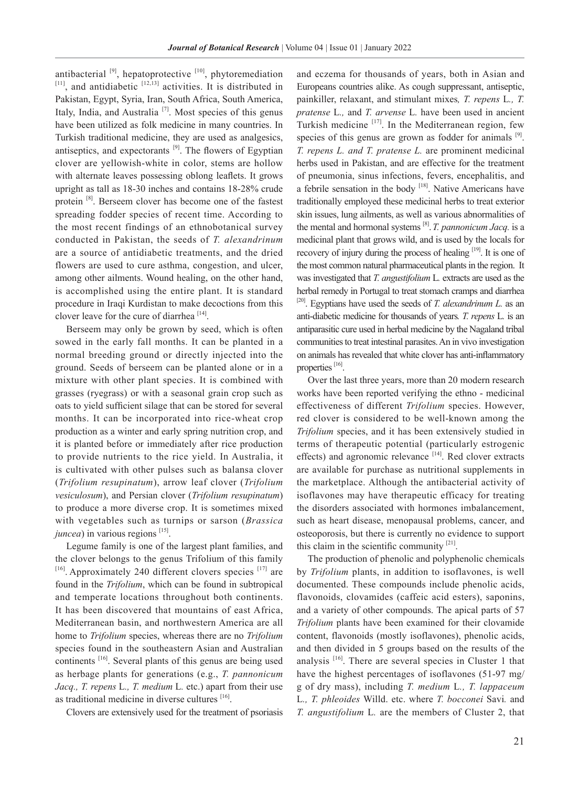antibacterial  $[9]$ , hepatoprotective  $[10]$ , phytoremediation  $[11]$ , and antidiabetic  $[12,13]$  activities. It is distributed in Pakistan, Egypt, Syria, Iran, South Africa, South America, Italy, India, and Australia<sup>[7]</sup>. Most species of this genus have been utilized as folk medicine in many countries. In Turkish traditional medicine, they are used as analgesics, antiseptics, and expectorants  $[9]$ . The flowers of Egyptian clover are yellowish-white in color, stems are hollow with alternate leaves possessing oblong leaflets. It grows upright as tall as 18-30 inches and contains 18-28% crude protein [8]. Berseem clover has become one of the fastest spreading fodder species of recent time. According to the most recent findings of an ethnobotanical survey conducted in Pakistan, the seeds of *T. alexandrinum* are a source of antidiabetic treatments, and the dried flowers are used to cure asthma, congestion, and ulcer, among other ailments. Wound healing, on the other hand, is accomplished using the entire plant. It is standard procedure in Iraqi Kurdistan to make decoctions from this clover leave for the cure of diarrhea [14].

Berseem may only be grown by seed, which is often sowed in the early fall months. It can be planted in a normal breeding ground or directly injected into the ground. Seeds of berseem can be planted alone or in a mixture with other plant species. It is combined with grasses (ryegrass) or with a seasonal grain crop such as oats to yield sufficient silage that can be stored for several months. It can be incorporated into rice-wheat crop production as a winter and early spring nutrition crop, and it is planted before or immediately after rice production to provide nutrients to the rice yield. In Australia, it is cultivated with other pulses such as balansa clover (*Trifolium resupinatum*), arrow leaf clover (*Trifolium vesiculosum*), and Persian clover (*Trifolium resupinatum*) to produce a more diverse crop. It is sometimes mixed with vegetables such as turnips or sarson (*Brassica juncea*) in various regions [15].

Legume family is one of the largest plant families, and the clover belongs to the genus Trifolium of this family  $[16]$ . Approximately 240 different clovers species  $[17]$  are found in the *Trifolium*, which can be found in subtropical and temperate locations throughout both continents. It has been discovered that mountains of east Africa, Mediterranean basin, and northwestern America are all home to *Trifolium* species, whereas there are no *Trifolium* species found in the southeastern Asian and Australian continents [16]. Several plants of this genus are being used as herbage plants for generations (e.g., *T. pannonicum Jacq., T. repens* L*., T. medium* L*.* etc.) apart from their use as traditional medicine in diverse cultures [16].

Clovers are extensively used for the treatment of psoriasis

and eczema for thousands of years, both in Asian and Europeans countries alike. As cough suppressant, antiseptic, painkiller, relaxant, and stimulant mixes*, T. repens* L*., T. pratense* L*.,* and *T. arvense* L*.* have been used in ancient Turkish medicine  $[17]$ . In the Mediterranean region, few species of this genus are grown as fodder for animals  $[9]$ . *T. repens L. and T. pratense L.* are prominent medicinal herbs used in Pakistan, and are effective for the treatment of pneumonia, sinus infections, fevers, encephalitis, and a febrile sensation in the body [18]. Native Americans have traditionally employed these medicinal herbs to treat exterior skin issues, lung ailments, as well as various abnormalities of the mental and hormonal systems [8].*T. pannonicum Jacq.* is a medicinal plant that grows wild, and is used by the locals for recovery of injury during the process of healing [19]. It is one of the most common natural pharmaceutical plants in the region. It was investigated that *T. angustifolium* L*.* extracts are used as the herbal remedy in Portugal to treat stomach cramps and diarrhea  $[20]$ . Egyptians have used the seeds of *T. alexandrinum L.* as an anti-diabetic medicine for thousands of years*. T. repens* L*.* is an antiparasitic cure used in herbal medicine by the Nagaland tribal communities to treat intestinal parasites. An in vivo investigation on animals has revealed that white clover has anti-inflammatory properties [16].

Over the last three years, more than 20 modern research works have been reported verifying the ethno - medicinal effectiveness of different *Trifolium* species. However, red clover is considered to be well-known among the *Trifolium* species, and it has been extensively studied in terms of therapeutic potential (particularly estrogenic effects) and agronomic relevance [14]. Red clover extracts are available for purchase as nutritional supplements in the marketplace. Although the antibacterial activity of isoflavones may have therapeutic efficacy for treating the disorders associated with hormones imbalancement, such as heart disease, menopausal problems, cancer, and osteoporosis, but there is currently no evidence to support this claim in the scientific community  $[21]$ .

The production of phenolic and polyphenolic chemicals by *Trifolium* plants, in addition to isoflavones, is well documented. These compounds include phenolic acids, flavonoids, clovamides (caffeic acid esters), saponins, and a variety of other compounds. The apical parts of 57 *Trifolium* plants have been examined for their clovamide content, flavonoids (mostly isoflavones), phenolic acids, and then divided in 5 groups based on the results of the analysis [16]. There are several species in Cluster 1 that have the highest percentages of isoflavones (51-97 mg/ g of dry mass), including *T. medium* L*., T. lappaceum*  L*., T. phleoides* Willd. etc. where *T. bocconei* Savi*.* and *T. angustifolium* L*.* are the members of Cluster 2, that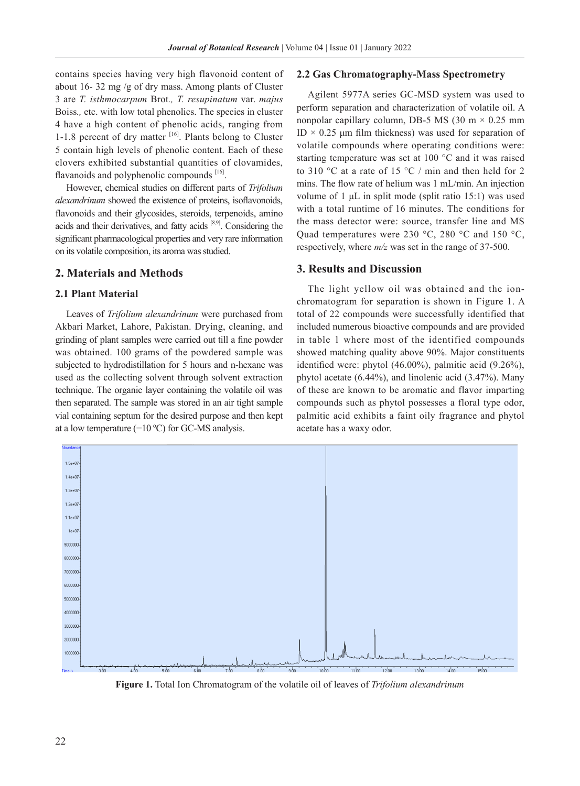contains species having very high flavonoid content of about 16- 32 mg /g of dry mass. Among plants of Cluster 3 are *T. isthmocarpum* Brot*., T. resupinatum* var. *majus* Boiss*.,* etc. with low total phenolics. The species in cluster 4 have a high content of phenolic acids, ranging from 1-1.8 percent of dry matter  $[16]$ . Plants belong to Cluster 5 contain high levels of phenolic content. Each of these clovers exhibited substantial quantities of clovamides, flavanoids and polyphenolic compounds [16].

However, chemical studies on different parts of *Trifolium alexandrinum* showed the existence of proteins, isoflavonoids, flavonoids and their glycosides, steroids, terpenoids, amino acids and their derivatives, and fatty acids [8,9]. Considering the significant pharmacological properties and very rare information on its volatile composition, its aroma was studied.

#### **2. Materials and Methods**

### **2.1 Plant Material**

Leaves of *Trifolium alexandrinum* were purchased from Akbari Market, Lahore, Pakistan. Drying, cleaning, and grinding of plant samples were carried out till a fine powder was obtained. 100 grams of the powdered sample was subjected to hydrodistillation for 5 hours and n-hexane was used as the collecting solvent through solvent extraction technique. The organic layer containing the volatile oil was then separated. The sample was stored in an air tight sample vial containing septum for the desired purpose and then kept at a low temperature  $(-10 \degree C)$  for GC-MS analysis.

#### **2.2 Gas Chromatography-Mass Spectrometry**

Agilent 5977A series GC-MSD system was used to perform separation and characterization of volatile oil. A nonpolar capillary column, DB-5 MS (30 m  $\times$  0.25 mm ID  $\times$  0.25 µm film thickness) was used for separation of volatile compounds where operating conditions were: starting temperature was set at 100 °C and it was raised to 310 °C at a rate of 15 °C / min and then held for 2 mins. The flow rate of helium was 1 mL/min. An injection volume of 1 μL in split mode (split ratio 15:1) was used with a total runtime of 16 minutes. The conditions for the mass detector were: source, transfer line and MS Quad temperatures were 230 °C, 280 °C and 150 °C, respectively, where *m/z* was set in the range of 37-500.

#### **3. Results and Discussion**

The light yellow oil was obtained and the ionchromatogram for separation is shown in Figure 1. A total of 22 compounds were successfully identified that included numerous bioactive compounds and are provided in table 1 where most of the identified compounds showed matching quality above 90%. Major constituents identified were: phytol (46.00%), palmitic acid (9.26%), phytol acetate (6.44%), and linolenic acid (3.47%). Many of these are known to be aromatic and flavor imparting compounds such as phytol possesses a floral type odor, palmitic acid exhibits a faint oily fragrance and phytol acetate has a waxy odor.



**Figure 1.** Total Ion Chromatogram of the volatile oil of leaves of *Trifolium alexandrinum*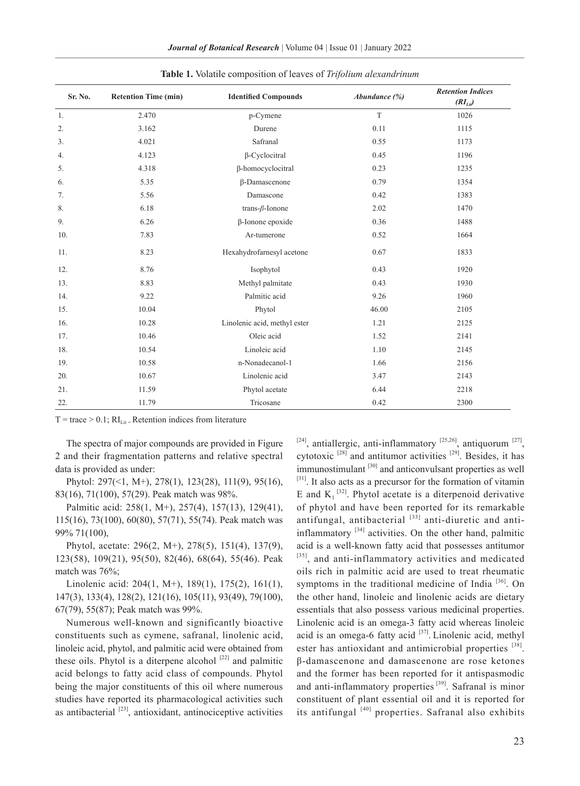| Journal of Botanical Research   Volume 04   Issue 01   January 2022 |  |  |  |  |
|---------------------------------------------------------------------|--|--|--|--|
|---------------------------------------------------------------------|--|--|--|--|

| Sr. No. | <b>Retention Time (min)</b> | <b>Identified Compounds</b>  | Abundance (%) | <b>Retention Indices</b><br>$(RI_{Li}\)$ |
|---------|-----------------------------|------------------------------|---------------|------------------------------------------|
| 1.      | 2.470                       | p-Cymene                     | T             | 1026                                     |
| 2.      | 3.162                       | Durene                       | 0.11          | 1115                                     |
| 3.      | 4.021                       | Safranal                     | 0.55          | 1173                                     |
| 4.      | 4.123                       | $\beta$ -Cyclocitral         | 0.45          | 1196                                     |
| 5.      | 4.318                       | β-homocyclocitral            | 0.23          | 1235                                     |
| 6.      | 5.35                        | β-Damascenone                | 0.79          | 1354                                     |
| 7.      | 5.56                        | Damascone                    | 0.42          | 1383                                     |
| 8.      | 6.18                        | trans- $\beta$ -Ionone       | 2.02          | 1470                                     |
| 9.      | 6.26                        | β-Ionone epoxide             | 0.36          | 1488                                     |
| 10.     | 7.83                        | Ar-tumerone                  | 0.52          | 1664                                     |
| 11.     | 8.23                        | Hexahydrofarnesyl acetone    | 0.67          | 1833                                     |
| 12.     | 8.76                        | Isophytol                    | 0.43          | 1920                                     |
| 13.     | 8.83                        | Methyl palmitate             | 0.43          | 1930                                     |
| 14.     | 9.22                        | Palmitic acid                | 9.26          | 1960                                     |
| 15.     | 10.04                       | Phytol                       | 46.00         | 2105                                     |
| 16.     | 10.28                       | Linolenic acid, methyl ester | 1.21          | 2125                                     |
| 17.     | 10.46                       | Oleic acid                   | 1.52          | 2141                                     |
| 18.     | 10.54                       | Linoleic acid                | 1.10          | 2145                                     |
| 19.     | 10.58                       | n-Nonadecanol-1              | 1.66          | 2156                                     |
| 20.     | 10.67                       | Linolenic acid               | 3.47          | 2143                                     |
| 21.     | 11.59                       | Phytol acetate               | 6.44          | 2218                                     |
| 22.     | 11.79                       | Tricosane                    | 0.42          | 2300                                     |

**Table 1.** Volatile composition of leaves of *Trifolium alexandrinum*

 $T = \text{trace} > 0.1$ ;  $RI_{\text{Lif}} = \text{Retention indices from literature}$ 

The spectra of major compounds are provided in Figure 2 and their fragmentation patterns and relative spectral data is provided as under:

Phytol: 297(<1, M+), 278(1), 123(28), 111(9), 95(16), 83(16), 71(100), 57(29). Peak match was 98%.

Palmitic acid: 258(1, M+), 257(4), 157(13), 129(41), 115(16), 73(100), 60(80), 57(71), 55(74). Peak match was 99% 71(100),

Phytol, acetate: 296(2, M+), 278(5), 151(4), 137(9), 123(58), 109(21), 95(50), 82(46), 68(64), 55(46). Peak match was 76%;

Linolenic acid: 204(1, M+), 189(1), 175(2), 161(1), 147(3), 133(4), 128(2), 121(16), 105(11), 93(49), 79(100), 67(79), 55(87); Peak match was 99%.

Numerous well-known and significantly bioactive constituents such as cymene, safranal, linolenic acid, linoleic acid, phytol, and palmitic acid were obtained from these oils. Phytol is a diterpene alcohol  $[22]$  and palmitic acid belongs to fatty acid class of compounds. Phytol being the major constituents of this oil where numerous studies have reported its pharmacological activities such as antibacterial  $[23]$ , antioxidant, antinociceptive activities  $[24]$ , antiallergic, anti-inflammatory  $[25,26]$ , antiquorum  $[27]$ , cytotoxic  $^{[28]}$  and antitumor activities  $^{[29]}$ . Besides, it has immunostimulant  $[30]$  and anticonvulsant properties as well [31]. It also acts as a precursor for the formation of vitamin E and  $K_1$ <sup>[32]</sup>. Phytol acetate is a diterpenoid derivative of phytol and have been reported for its remarkable antifungal, antibacterial [33] anti-diuretic and antiinflammatory  $[34]$  activities. On the other hand, palmitic acid is a well-known fatty acid that possesses antitumor [35], and anti-inflammatory activities and medicated oils rich in palmitic acid are used to treat rheumatic symptoms in the traditional medicine of India [36]. On the other hand, linoleic and linolenic acids are dietary essentials that also possess various medicinal properties. Linolenic acid is an omega-3 fatty acid whereas linoleic acid is an omega-6 fatty acid  $[37]$ . Linolenic acid, methyl ester has antioxidant and antimicrobial properties [38]. β-damascenone and damascenone are rose ketones and the former has been reported for it antispasmodic and anti-inflammatory properties [39]. Safranal is minor constituent of plant essential oil and it is reported for its antifungal [40] properties. Safranal also exhibits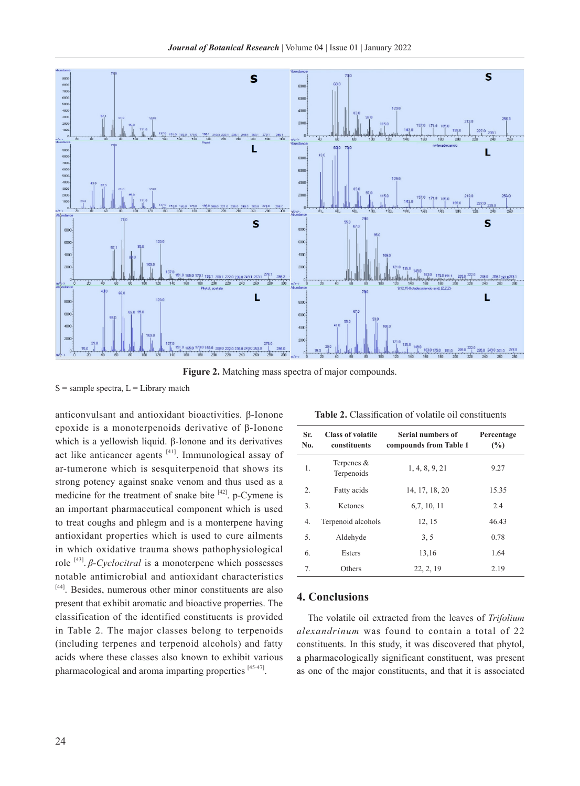

**Figure 2.** Matching mass spectra of major compounds.

 $S =$ sample spectra,  $L =$ Library match

anticonvulsant and antioxidant bioactivities. β-Ionone epoxide is a monoterpenoids derivative of β-Ionone which is a yellowish liquid. β-Ionone and its derivatives act like anticancer agents  $[41]$ . Immunological assay of ar-tumerone which is sesquiterpenoid that shows its strong potency against snake venom and thus used as a medicine for the treatment of snake bite  $[42]$ . p-Cymene is an important pharmaceutical component which is used to treat coughs and phlegm and is a monterpene having antioxidant properties which is used to cure ailments in which oxidative trauma shows pathophysiological role [43]. *β-Cyclocitral* is a monoterpene which possesses notable antimicrobial and antioxidant characteristics [44]. Besides, numerous other minor constituents are also present that exhibit aromatic and bioactive properties. The classification of the identified constituents is provided in Table 2. The major classes belong to terpenoids (including terpenes and terpenoid alcohols) and fatty acids where these classes also known to exhibit various pharmacological and aroma imparting properties [45-47].

| Table 2. Classification of volatile oil constituents |
|------------------------------------------------------|
|------------------------------------------------------|

| Sr.<br>No. | <b>Class of volatile</b><br>constituents | Serial numbers of<br>compounds from Table 1 | Percentage<br>(%) |
|------------|------------------------------------------|---------------------------------------------|-------------------|
| 1.         | Terpenes $&$<br>Terpenoids               | 1, 4, 8, 9, 21                              | 9.27              |
| 2.         | Fatty acids                              | 14, 17, 18, 20                              | 15.35             |
| 3.         | Ketones                                  | 6,7, 10, 11                                 | 2.4               |
| 4.         | Terpenoid alcohols                       | 12, 15                                      | 46.43             |
| 5.         | Aldehyde                                 | 3, 5                                        | 0.78              |
| 6.         | Esters                                   | 13,16                                       | 1.64              |
| 7.         | Others                                   | 22, 2, 19                                   | 2.19              |

# **4. Conclusions**

The volatile oil extracted from the leaves of *Trifolium alexandrinum* was found to contain a total of 22 constituents. In this study, it was discovered that phytol, a pharmacologically significant constituent, was present as one of the major constituents, and that it is associated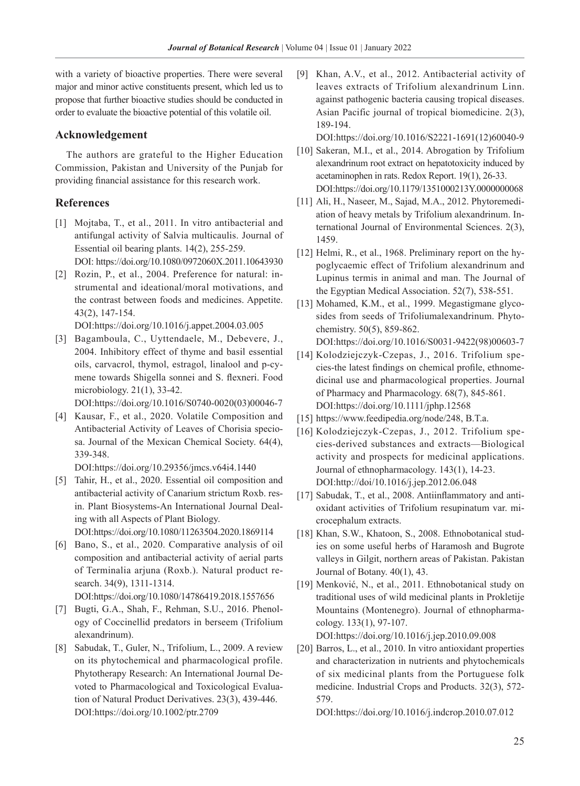with a variety of bioactive properties. There were several major and minor active constituents present, which led us to propose that further bioactive studies should be conducted in order to evaluate the bioactive potential of this volatile oil.

## **Acknowledgement**

The authors are grateful to the Higher Education Commission, Pakistan and University of the Punjab for providing financial assistance for this research work.

# **References**

- [1] Mojtaba, T., et al., 2011. In vitro antibacterial and antifungal activity of Salvia multicaulis. Journal of Essential oil bearing plants. 14(2), 255-259. DOI: https://doi.org/10.1080/0972060X.2011.10643930
- [2] Rozin, P., et al., 2004. Preference for natural: instrumental and ideational/moral motivations, and the contrast between foods and medicines. Appetite. 43(2), 147-154.

DOI:https://doi.org/10.1016/j.appet.2004.03.005

- [3] Bagamboula, C., Uyttendaele, M., Debevere, J., 2004. Inhibitory effect of thyme and basil essential oils, carvacrol, thymol, estragol, linalool and p-cymene towards Shigella sonnei and S. flexneri. Food microbiology. 21(1), 33-42. DOI:https://doi.org/10.1016/S0740-0020(03)00046-7
- [4] Kausar, F., et al., 2020. Volatile Composition and Antibacterial Activity of Leaves of Chorisia speciosa. Journal of the Mexican Chemical Society. 64(4), 339-348.

DOI:https://doi.org/10.29356/jmcs.v64i4.1440

- [5] Tahir, H., et al., 2020. Essential oil composition and antibacterial activity of Canarium strictum Roxb. resin. Plant Biosystems-An International Journal Dealing with all Aspects of Plant Biology. DOI:https://doi.org/10.1080/11263504.2020.1869114
- [6] Bano, S., et al., 2020. Comparative analysis of oil composition and antibacterial activity of aerial parts of Terminalia arjuna (Roxb.). Natural product research. 34(9), 1311-1314.

DOI:https://doi.org/10.1080/14786419.2018.1557656

- [7] Bugti, G.A., Shah, F., Rehman, S.U., 2016. Phenology of Coccinellid predators in berseem (Trifolium alexandrinum).
- [8] Sabudak, T., Guler, N., Trifolium, L., 2009. A review on its phytochemical and pharmacological profile. Phytotherapy Research: An International Journal Devoted to Pharmacological and Toxicological Evaluation of Natural Product Derivatives. 23(3), 439-446. DOI:https://doi.org/10.1002/ptr.2709

[9] Khan, A.V., et al., 2012. Antibacterial activity of leaves extracts of Trifolium alexandrinum Linn. against pathogenic bacteria causing tropical diseases. Asian Pacific journal of tropical biomedicine. 2(3), 189-194.

DOI:https://doi.org/10.1016/S2221-1691(12)60040-9

- [10] Sakeran, M.I., et al., 2014. Abrogation by Trifolium alexandrinum root extract on hepatotoxicity induced by acetaminophen in rats. Redox Report. 19(1), 26-33. DOI:https://doi.org/10.1179/1351000213Y.0000000068
- [11] Ali, H., Naseer, M., Sajad, M.A., 2012. Phytoremediation of heavy metals by Trifolium alexandrinum. International Journal of Environmental Sciences. 2(3), 1459.
- [12] Helmi, R., et al., 1968. Preliminary report on the hypoglycaemic effect of Trifolium alexandrinum and Lupinus termis in animal and man. The Journal of the Egyptian Medical Association. 52(7), 538-551.
- [13] Mohamed, K.M., et al., 1999. Megastigmane glycosides from seeds of Trifoliumalexandrinum. Phytochemistry. 50(5), 859-862.

DOI:https://doi.org/10.1016/S0031-9422(98)00603-7

- [14] Kolodziejczyk-Czepas, J., 2016. Trifolium species-the latest findings on chemical profile, ethnomedicinal use and pharmacological properties. Journal of Pharmacy and Pharmacology. 68(7), 845-861. DOI:https://doi.org/10.1111/jphp.12568
- [15] https://www.feedipedia.org/node/248, B.T.a.
- [16] Kolodziejczyk-Czepas, J., 2012. Trifolium species-derived substances and extracts—Biological activity and prospects for medicinal applications. Journal of ethnopharmacology. 143(1), 14-23. DOI:http://doi/10.1016/j.jep.2012.06.048
- [17] Sabudak, T., et al., 2008. Antiinflammatory and antioxidant activities of Trifolium resupinatum var. microcephalum extracts.
- [18] Khan, S.W., Khatoon, S., 2008. Ethnobotanical studies on some useful herbs of Haramosh and Bugrote valleys in Gilgit, northern areas of Pakistan. Pakistan Journal of Botany. 40(1), 43.
- [19] Menković, N., et al., 2011. Ethnobotanical study on traditional uses of wild medicinal plants in Prokletije Mountains (Montenegro). Journal of ethnopharmacology. 133(1), 97-107.

DOI:https://doi.org/10.1016/j.jep.2010.09.008

[20] Barros, L., et al., 2010. In vitro antioxidant properties and characterization in nutrients and phytochemicals of six medicinal plants from the Portuguese folk medicine. Industrial Crops and Products. 32(3), 572- 579.

DOI:https://doi.org/10.1016/j.indcrop.2010.07.012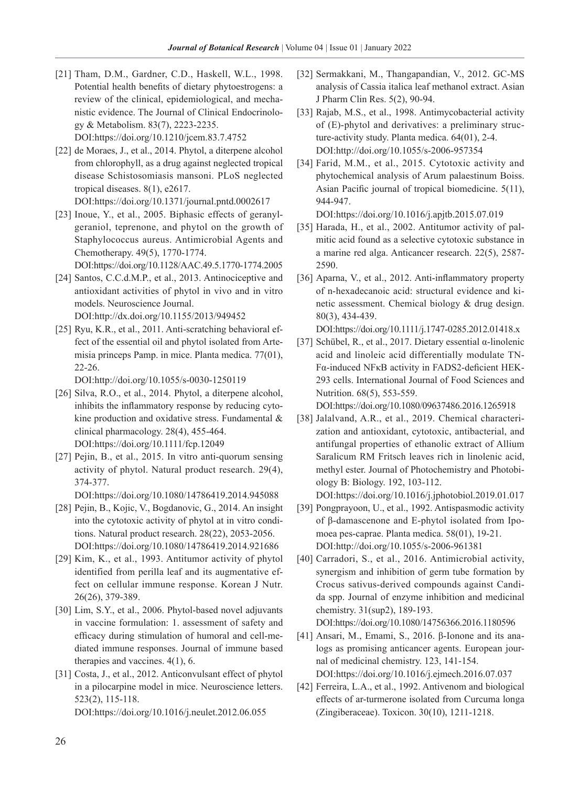- [21] Tham, D.M., Gardner, C.D., Haskell, W.L., 1998. Potential health benefits of dietary phytoestrogens: a review of the clinical, epidemiological, and mechanistic evidence. The Journal of Clinical Endocrinology & Metabolism. 83(7), 2223-2235. DOI:https://doi.org/10.1210/jcem.83.7.4752
- [22] de Moraes, J., et al., 2014. Phytol, a diterpene alcohol from chlorophyll, as a drug against neglected tropical disease Schistosomiasis mansoni. PLoS neglected tropical diseases. 8(1), e2617. DOI:https://doi.org/10.1371/journal.pntd.0002617
- [23] Inoue, Y., et al., 2005. Biphasic effects of geranylgeraniol, teprenone, and phytol on the growth of Staphylococcus aureus. Antimicrobial Agents and Chemotherapy. 49(5), 1770-1774.

DOI:https://doi.org/10.1128/AAC.49.5.1770-1774.2005

- [24] Santos, C.C.d.M.P., et al., 2013. Antinociceptive and antioxidant activities of phytol in vivo and in vitro models. Neuroscience Journal. DOI:http://dx.doi.org/10.1155/2013/949452
- [25] Ryu, K.R., et al., 2011. Anti-scratching behavioral effect of the essential oil and phytol isolated from Artemisia princeps Pamp. in mice. Planta medica. 77(01), 22-26.

DOI:http://doi.org/10.1055/s-0030-1250119

- [26] Silva, R.O., et al., 2014. Phytol, a diterpene alcohol, inhibits the inflammatory response by reducing cytokine production and oxidative stress. Fundamental & clinical pharmacology. 28(4), 455-464. DOI:https://doi.org/10.1111/fcp.12049
- [27] Pejin, B., et al., 2015. In vitro anti-quorum sensing activity of phytol. Natural product research. 29(4), 374-377.

DOI:https://doi.org/10.1080/14786419.2014.945088

- [28] Pejin, B., Kojic, V., Bogdanovic, G., 2014. An insight into the cytotoxic activity of phytol at in vitro conditions. Natural product research. 28(22), 2053-2056. DOI:https://doi.org/10.1080/14786419.2014.921686
- [29] Kim, K., et al., 1993. Antitumor activity of phytol identified from perilla leaf and its augmentative effect on cellular immune response. Korean J Nutr. 26(26), 379-389.
- [30] Lim, S.Y., et al., 2006. Phytol-based novel adjuvants in vaccine formulation: 1. assessment of safety and efficacy during stimulation of humoral and cell-mediated immune responses. Journal of immune based therapies and vaccines. 4(1), 6.
- [31] Costa, J., et al., 2012. Anticonvulsant effect of phytol in a pilocarpine model in mice. Neuroscience letters. 523(2), 115-118. DOI:https://doi.org/10.1016/j.neulet.2012.06.055
- [32] Sermakkani, M., Thangapandian, V., 2012. GC-MS analysis of Cassia italica leaf methanol extract. Asian J Pharm Clin Res. 5(2), 90-94.
- [33] Rajab, M.S., et al., 1998. Antimycobacterial activity of (E)-phytol and derivatives: a preliminary structure-activity study. Planta medica. 64(01), 2-4. DOI:http://doi.org/10.1055/s-2006-957354
- [34] Farid, M.M., et al., 2015. Cytotoxic activity and phytochemical analysis of Arum palaestinum Boiss. Asian Pacific journal of tropical biomedicine. 5(11), 944-947.

DOI:https://doi.org/10.1016/j.apjtb.2015.07.019

- [35] Harada, H., et al., 2002. Antitumor activity of palmitic acid found as a selective cytotoxic substance in a marine red alga. Anticancer research. 22(5), 2587- 2590.
- [36] Aparna, V., et al., 2012. Anti-inflammatory property of n-hexadecanoic acid: structural evidence and kinetic assessment. Chemical biology & drug design. 80(3), 434-439.

DOI:https://doi.org/10.1111/j.1747-0285.2012.01418.x

[37] Schübel, R., et al., 2017. Dietary essential α-linolenic acid and linoleic acid differentially modulate TN-Fα-induced NFκB activity in FADS2-deficient HEK-293 cells. International Journal of Food Sciences and Nutrition. 68(5), 553-559.

DOI:https://doi.org/10.1080/09637486.2016.1265918

- [38] Jalalvand, A.R., et al., 2019. Chemical characterization and antioxidant, cytotoxic, antibacterial, and antifungal properties of ethanolic extract of Allium Saralicum RM Fritsch leaves rich in linolenic acid, methyl ester. Journal of Photochemistry and Photobiology B: Biology. 192, 103-112. DOI:https://doi.org/10.1016/j.jphotobiol.2019.01.017
- [39] Pongprayoon, U., et al., 1992. Antispasmodic activity of β-damascenone and E-phytol isolated from Ipomoea pes-caprae. Planta medica. 58(01), 19-21. DOI:http://doi.org/10.1055/s-2006-961381
- [40] Carradori, S., et al., 2016. Antimicrobial activity, synergism and inhibition of germ tube formation by Crocus sativus-derived compounds against Candida spp. Journal of enzyme inhibition and medicinal chemistry. 31(sup2), 189-193. DOI:https://doi.org/10.1080/14756366.2016.1180596

[41] Ansari, M., Emami, S., 2016. β-Ionone and its ana-

- logs as promising anticancer agents. European journal of medicinal chemistry. 123, 141-154. DOI:https://doi.org/10.1016/j.ejmech.2016.07.037
- [42] Ferreira, L.A., et al., 1992. Antivenom and biological effects of ar-turmerone isolated from Curcuma longa (Zingiberaceae). Toxicon. 30(10), 1211-1218.